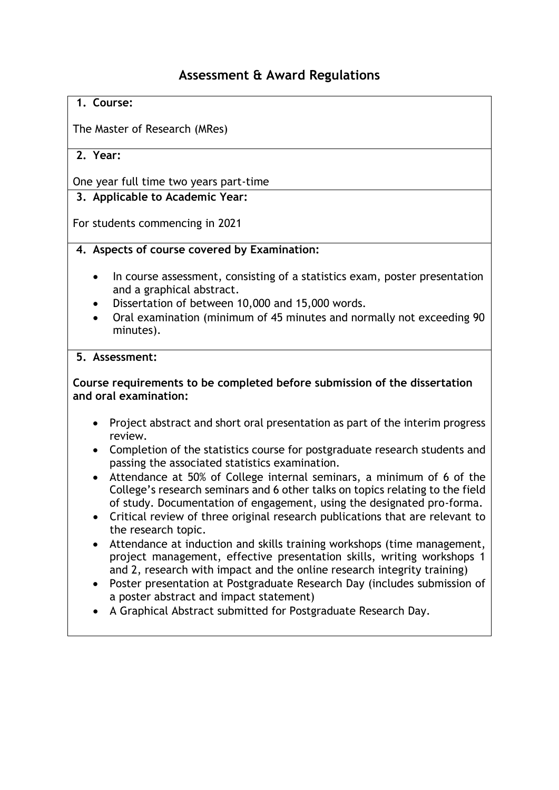# **Assessment & Award Regulations**

#### **1. Course:**

The Master of Research (MRes)

## **2. Year:**

One year full time two years part-time

## **3. Applicable to Academic Year:**

For students commencing in 2021

#### **4. Aspects of course covered by Examination:**

- In course assessment, consisting of a statistics exam, poster presentation and a graphical abstract.
- Dissertation of between 10,000 and 15,000 words.
- Oral examination (minimum of 45 minutes and normally not exceeding 90 minutes).

#### **5. Assessment:**

## **Course requirements to be completed before submission of the dissertation and oral examination:**

- Project abstract and short oral presentation as part of the interim progress review.
- Completion of the statistics course for postgraduate research students and passing the associated statistics examination.
- Attendance at 50% of College internal seminars, a minimum of 6 of the College's research seminars and 6 other talks on topics relating to the field of study. Documentation of engagement, using the designated pro-forma.
- Critical review of three original research publications that are relevant to the research topic.
- Attendance at induction and skills training workshops (time management, project management, effective presentation skills, writing workshops 1 and 2, research with impact and the online research integrity training)
- Poster presentation at Postgraduate Research Day (includes submission of a poster abstract and impact statement)
- A Graphical Abstract submitted for Postgraduate Research Day.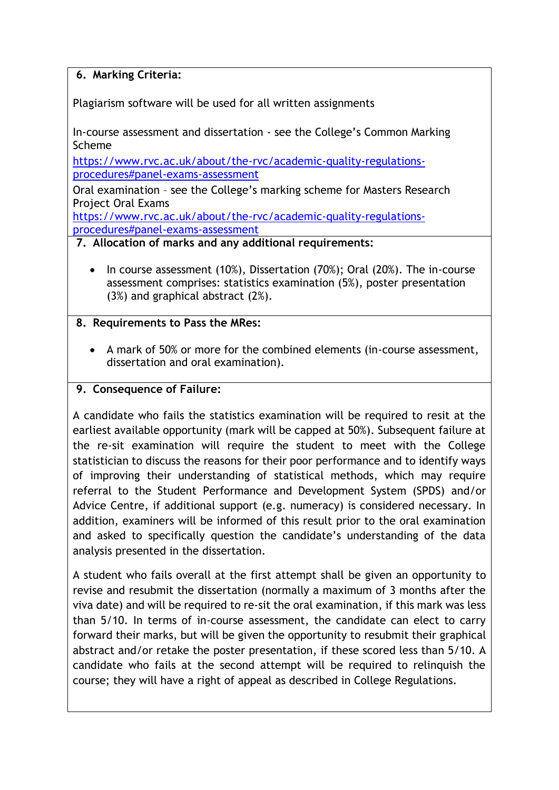## **6. Marking Criteria:**

Plagiarism software will be used for all written assignments

In-course assessment and dissertation - see the College's Common Marking Scheme

[https://www.rvc.ac.uk/about/the-rvc/academic-quality-regulations](https://www.rvc.ac.uk/about/the-rvc/academic-quality-regulations-procedures#panel-exams-assessment)[procedures#panel-exams-assessment](https://www.rvc.ac.uk/about/the-rvc/academic-quality-regulations-procedures#panel-exams-assessment)

Oral examination – see the College's marking scheme for Masters Research Project Oral Exams

[https://www.rvc.ac.uk/about/the-rvc/academic-quality-regulations](https://www.rvc.ac.uk/about/the-rvc/academic-quality-regulations-procedures#panel-exams-assessment)[procedures#panel-exams-assessment](https://www.rvc.ac.uk/about/the-rvc/academic-quality-regulations-procedures#panel-exams-assessment)

#### **7. Allocation of marks and any additional requirements:**

• In course assessment (10%), Dissertation (70%); Oral (20%). The in-course assessment comprises: statistics examination (5%), poster presentation (3%) and graphical abstract (2%).

#### **8. Requirements to Pass the MRes:**

• A mark of 50% or more for the combined elements (in-course assessment, dissertation and oral examination).

#### **9. Consequence of Failure:**

A candidate who fails the statistics examination will be required to resit at the earliest available opportunity (mark will be capped at 50%). Subsequent failure at the re-sit examination will require the student to meet with the College statistician to discuss the reasons for their poor performance and to identify ways of improving their understanding of statistical methods, which may require referral to the Student Performance and Development System (SPDS) and/or Advice Centre, if additional support (e.g. numeracy) is considered necessary. In addition, examiners will be informed of this result prior to the oral examination and asked to specifically question the candidate's understanding of the data analysis presented in the dissertation.

A student who fails overall at the first attempt shall be given an opportunity to revise and resubmit the dissertation (normally a maximum of 3 months after the viva date) and will be required to re-sit the oral examination, if this mark was less than 5/10. In terms of in-course assessment, the candidate can elect to carry forward their marks, but will be given the opportunity to resubmit their graphical abstract and/or retake the poster presentation, if these scored less than 5/10. A candidate who fails at the second attempt will be required to relinquish the course; they will have a right of appeal as described in College Regulations.